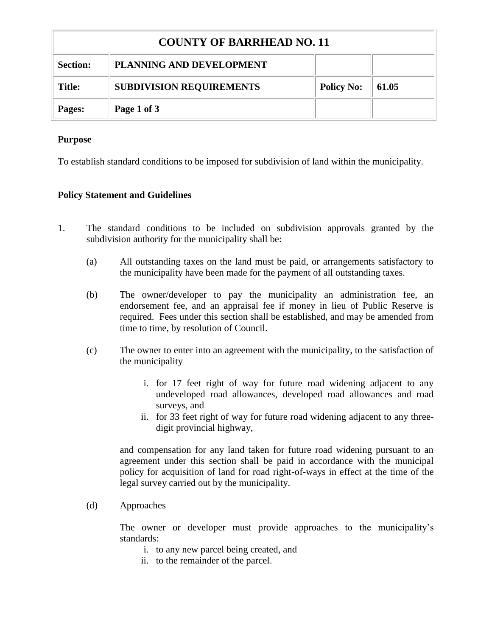| <b>COUNTY OF BARRHEAD NO. 11</b> |                                 |                   |       |  |
|----------------------------------|---------------------------------|-------------------|-------|--|
| <b>Section:</b>                  | PLANNING AND DEVELOPMENT        |                   |       |  |
| <b>Title:</b>                    | <b>SUBDIVISION REQUIREMENTS</b> | <b>Policy No:</b> | 61.05 |  |
| Pages:                           | Page 1 of 3                     |                   |       |  |

## **Purpose**

To establish standard conditions to be imposed for subdivision of land within the municipality.

## **Policy Statement and Guidelines**

- 1. The standard conditions to be included on subdivision approvals granted by the subdivision authority for the municipality shall be:
	- (a) All outstanding taxes on the land must be paid, or arrangements satisfactory to the municipality have been made for the payment of all outstanding taxes.
	- (b) The owner/developer to pay the municipality an administration fee, an endorsement fee, and an appraisal fee if money in lieu of Public Reserve is required. Fees under this section shall be established, and may be amended from time to time, by resolution of Council.
	- (c) The owner to enter into an agreement with the municipality, to the satisfaction of the municipality
		- i. for 17 feet right of way for future road widening adjacent to any undeveloped road allowances, developed road allowances and road surveys, and
		- ii. for 33 feet right of way for future road widening adjacent to any threedigit provincial highway,

and compensation for any land taken for future road widening pursuant to an agreement under this section shall be paid in accordance with the municipal policy for acquisition of land for road right-of-ways in effect at the time of the legal survey carried out by the municipality.

(d) Approaches

The owner or developer must provide approaches to the municipality's standards:

- i. to any new parcel being created, and
- ii. to the remainder of the parcel.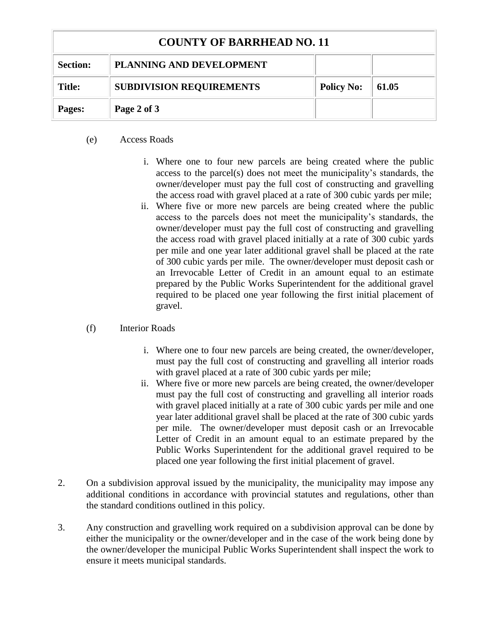| <b>COUNTY OF BARRHEAD NO. 11</b> |                                 |                   |       |  |
|----------------------------------|---------------------------------|-------------------|-------|--|
| <b>Section:</b>                  | PLANNING AND DEVELOPMENT        |                   |       |  |
| Title:                           | <b>SUBDIVISION REQUIREMENTS</b> | <b>Policy No:</b> | 61.05 |  |
| Pages:                           | Page 2 of 3                     |                   |       |  |

## (e) Access Roads

- i. Where one to four new parcels are being created where the public access to the parcel(s) does not meet the municipality's standards, the owner/developer must pay the full cost of constructing and gravelling the access road with gravel placed at a rate of 300 cubic yards per mile;
- ii. Where five or more new parcels are being created where the public access to the parcels does not meet the municipality's standards, the owner/developer must pay the full cost of constructing and gravelling the access road with gravel placed initially at a rate of 300 cubic yards per mile and one year later additional gravel shall be placed at the rate of 300 cubic yards per mile. The owner/developer must deposit cash or an Irrevocable Letter of Credit in an amount equal to an estimate prepared by the Public Works Superintendent for the additional gravel required to be placed one year following the first initial placement of gravel.

## (f) Interior Roads

- i. Where one to four new parcels are being created, the owner/developer, must pay the full cost of constructing and gravelling all interior roads with gravel placed at a rate of 300 cubic yards per mile;
- ii. Where five or more new parcels are being created, the owner/developer must pay the full cost of constructing and gravelling all interior roads with gravel placed initially at a rate of 300 cubic yards per mile and one year later additional gravel shall be placed at the rate of 300 cubic yards per mile. The owner/developer must deposit cash or an Irrevocable Letter of Credit in an amount equal to an estimate prepared by the Public Works Superintendent for the additional gravel required to be placed one year following the first initial placement of gravel.
- 2. On a subdivision approval issued by the municipality, the municipality may impose any additional conditions in accordance with provincial statutes and regulations, other than the standard conditions outlined in this policy.
- 3. Any construction and gravelling work required on a subdivision approval can be done by either the municipality or the owner/developer and in the case of the work being done by the owner/developer the municipal Public Works Superintendent shall inspect the work to ensure it meets municipal standards.